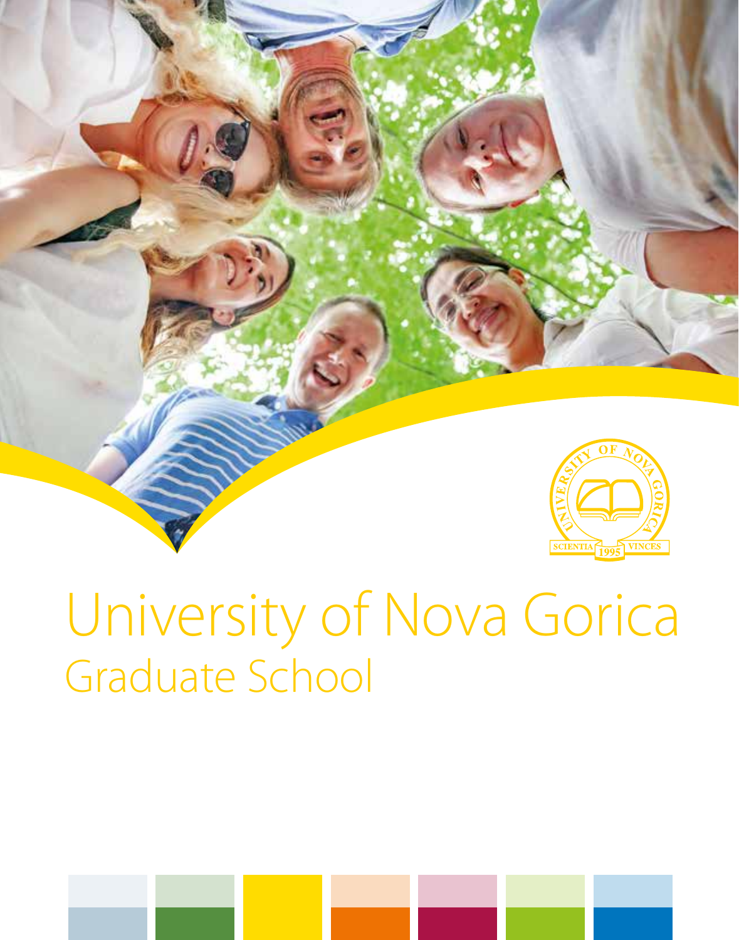

# University of Nova Gorica Graduate School

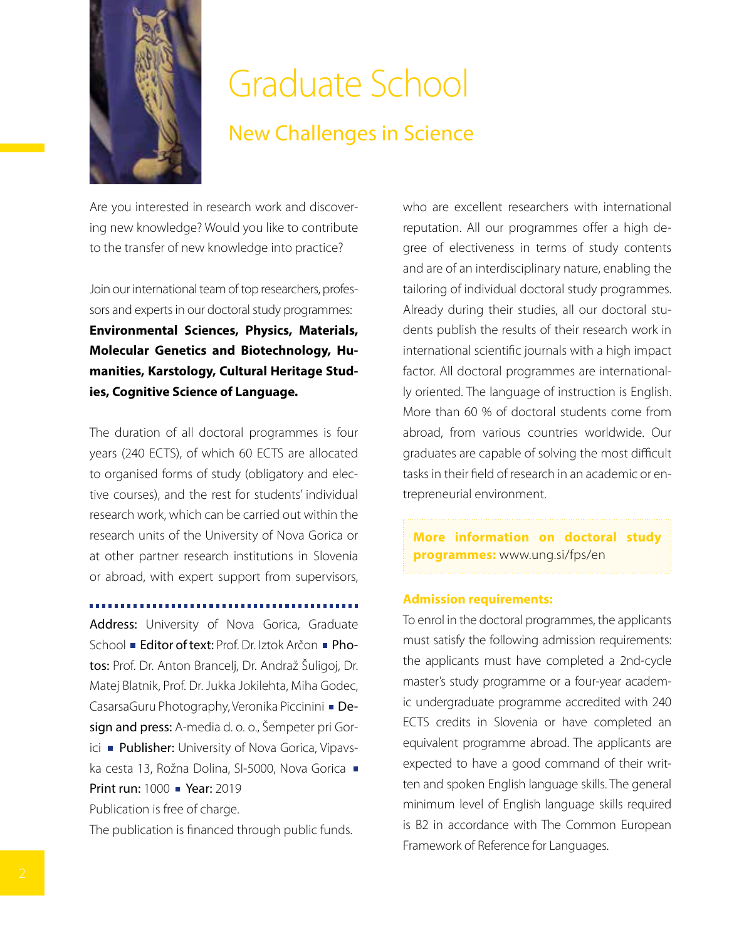

## Graduate School

#### New Challenges in Science

Are you interested in research work and discovering new knowledge? Would you like to contribute to the transfer of new knowledge into practice?

Join our international team of top researchers, professors and experts in our doctoral study programmes: **Environmental Sciences, Physics, Materials, Molecular Genetics and Biotechnology, Humanities, Karstology, Cultural Heritage Studies, Cognitive Science of Language.**

The duration of all doctoral programmes is four years (240 ECTS), of which 60 ECTS are allocated to organised forms of study (obligatory and elective courses), and the rest for students' individual research work, which can be carried out within the research units of the University of Nova Gorica or at other partner research institutions in Slovenia or abroad, with expert support from supervisors,

Address: University of Nova Gorica, Graduate School **Editor of text:** Prof. Dr. Iztok Arčon **Pho**tos: Prof. Dr. Anton Brancelj, Dr. Andraž Šuligoj, Dr. Matej Blatnik, Prof. Dr. Jukka Jokilehta, Miha Godec, CasarsaGuru Photography, Veronika Piccinini Design and press: A-media d. o. o., Šempeter pri Gorici **Publisher:** University of Nova Gorica, Vipavska cesta 13, Rožna Dolina, SI-5000, Nova Gorica Print run: 1000 · Year: 2019 Publication is free of charge.

The publication is financed through public funds.

who are excellent researchers with international reputation. All our programmes offer a high degree of electiveness in terms of study contents and are of an interdisciplinary nature, enabling the tailoring of individual doctoral study programmes. Already during their studies, all our doctoral students publish the results of their research work in international scientific journals with a high impact factor. All doctoral programmes are internationally oriented. The language of instruction is English. More than 60 % of doctoral students come from abroad, from various countries worldwide. Our graduates are capable of solving the most difficult tasks in their field of research in an academic or entrepreneurial environment.

**More information on doctoral study programmes:** www.ung.si/fps/en

#### **Admission requirements:**

To enrol in the doctoral programmes, the applicants must satisfy the following admission requirements: the applicants must have completed a 2nd-cycle master's study programme or a four-year academic undergraduate programme accredited with 240 ECTS credits in Slovenia or have completed an equivalent programme abroad. The applicants are expected to have a good command of their written and spoken English language skills. The general minimum level of English language skills required is B2 in accordance with The Common European Framework of Reference for Languages.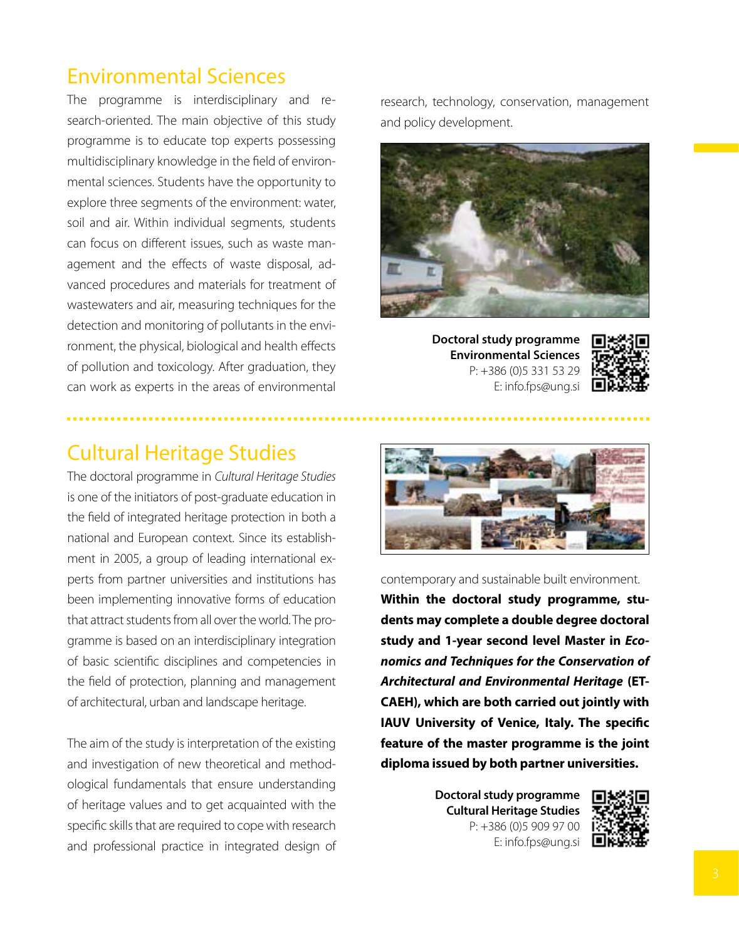### Environmental Sciences

The programme is interdisciplinary and research-oriented. The main objective of this study programme is to educate top experts possessing multidisciplinary knowledge in the field of environmental sciences. Students have the opportunity to explore three segments of the environment: water, soil and air. Within individual segments, students can focus on different issues, such as waste management and the effects of waste disposal, advanced procedures and materials for treatment of wastewaters and air, measuring techniques for the detection and monitoring of pollutants in the environment, the physical, biological and health effects of pollution and toxicology. After graduation, they can work as experts in the areas of environmental

research, technology, conservation, management and policy development.



**Doctoral study programme Environmental Sciences** P: +386 (0)5 331 53 29 E: info.fps@ung.si



#### Cultural Heritage Studies

The doctoral programme in *Cultural Heritage Studies* is one of the initiators of post-graduate education in the field of integrated heritage protection in both a national and European context. Since its establishment in 2005, a group of leading international experts from partner universities and institutions has been implementing innovative forms of education that attract students from all over the world. The programme is based on an interdisciplinary integration of basic scientific disciplines and competencies in the field of protection, planning and management of architectural, urban and landscape heritage.

The aim of the study is interpretation of the existing and investigation of new theoretical and methodological fundamentals that ensure understanding of heritage values and to get acquainted with the specific skills that are required to cope with research and professional practice in integrated design of



contemporary and sustainable built environment.

**Within the doctoral study programme, students may complete a double degree doctoral study and 1-year second level Master in** *Economics and Techniques for the Conservation of Architectural and Environmental Heritage* **(ET-CAEH), which are both carried out jointly with IAUV University of Venice, Italy. The specific feature of the master programme is the joint diploma issued by both partner universities.** 

> **Doctoral study programme Cultural Heritage Studies** P: +386 (0)5 909 97 00 E: info.fps@ung.si

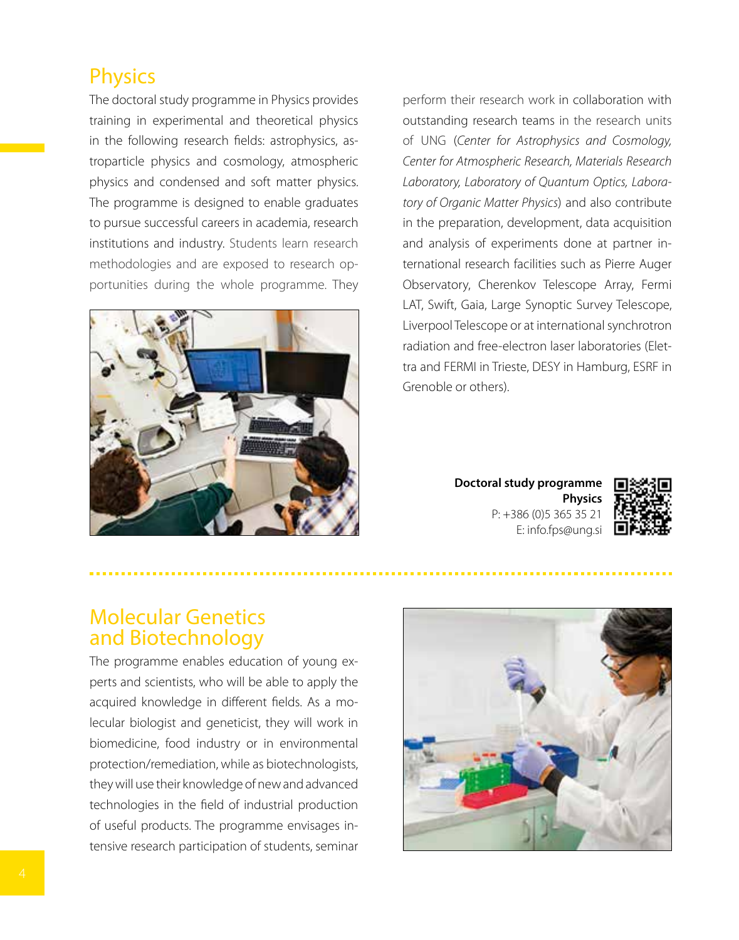#### **Physics**

The doctoral study programme in Physics provides training in experimental and theoretical physics in the following research fields: astrophysics, astroparticle physics and cosmology, atmospheric physics and condensed and soft matter physics. The programme is designed to enable graduates to pursue successful careers in academia, research institutions and industry. Students learn research methodologies and are exposed to research opportunities during the whole programme. They



perform their research work in collaboration with outstanding research teams in the research units of UNG (*Center for Astrophysics and Cosmology, Center for Atmospheric Research, Materials Research Laboratory, Laboratory of Quantum Optics, Laboratory of Organic Matter Physics*) and also contribute in the preparation, development, data acquisition and analysis of experiments done at partner international research facilities such as Pierre Auger Observatory, Cherenkov Telescope Array, Fermi LAT, Swift, Gaia, Large Synoptic Survey Telescope, Liverpool Telescope or at international synchrotron radiation and free-electron laser laboratories (Elettra and FERMI in Trieste, DESY in Hamburg, ESRF in Grenoble or others).

**Doctoral study programme Physics** P: +386 (0)5 365 35 21 E: info.fps@ung.si



#### Molecular Genetics and Biotechnology

The programme enables education of young experts and scientists, who will be able to apply the acquired knowledge in different fields. As a molecular biologist and geneticist, they will work in biomedicine, food industry or in environmental protection/remediation, while as biotechnologists, they will use their knowledge of new and advanced technologies in the field of industrial production of useful products. The programme envisages intensive research participation of students, seminar

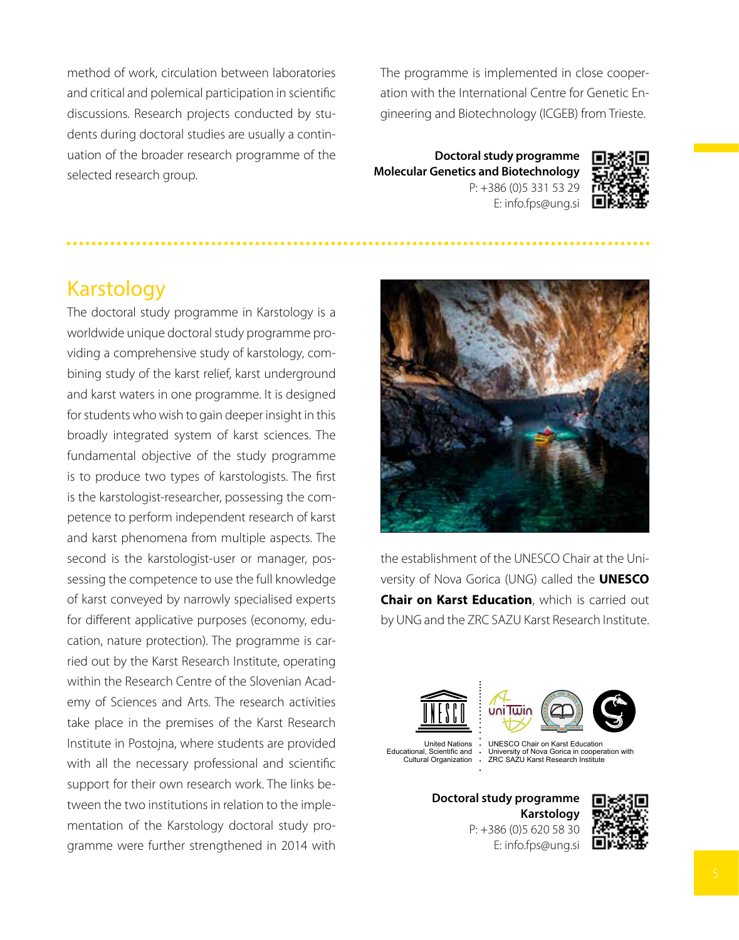method of work, circulation between laboratories and critical and polemical participation in scientific discussions. Research projects conducted by students during doctoral studies are usually a continuation of the broader research programme of the selected research group.

The programme is implemented in close cooperation with the International Centre for Genetic Engineering and Biotechnology (ICGEB) from Trieste.

**Doctoral study programme Molecular Genetics and Biotechnology** P: +386 (0)5 331 53 29 E: info.fps@ung.si



### Karstology

The doctoral study programme in Karstology is a worldwide unique doctoral study programme providing a comprehensive study of karstology, combining study of the karst relief, karst underground and karst waters in one programme. It is designed for students who wish to gain deeper insight in this broadly integrated system of karst sciences. The fundamental objective of the study programme is to produce two types of karstologists. The first is the karstologist-researcher, possessing the competence to perform independent research of karst and karst phenomena from multiple aspects. The second is the karstologist-user or manager, possessing the competence to use the full knowledge of karst conveyed by narrowly specialised experts for different applicative purposes (economy, education, nature protection). The programme is carried out by the Karst Research Institute, operating within the Research Centre of the Slovenian Academy of Sciences and Arts. The research activities take place in the premises of the Karst Research Institute in Postojna, where students are provided with all the necessary professional and scientific support for their own research work. The links between the two institutions in relation to the implementation of the Karstology doctoral study programme were further strengthened in 2014 with



the establishment of the UNESCO Chair at the University of Nova Gorica (UNG) called the **UNESCO Chair on Karst Education**, which is carried out by UNG and the ZRC SAZU Karst Research Institute.



United Nations<br>Educational, Scientific and Educational, Scientific and Cultural Organization

UNESCO Chair on Karst Education<br>University of Nova Gorica in cooperation with University of Nova Gorica in cooperation with ZRC SAZU Karst Research Institute

**Doctoral study programme Karstology** P: +386 (0)5 620 58 30 E: info.fps@ung.si

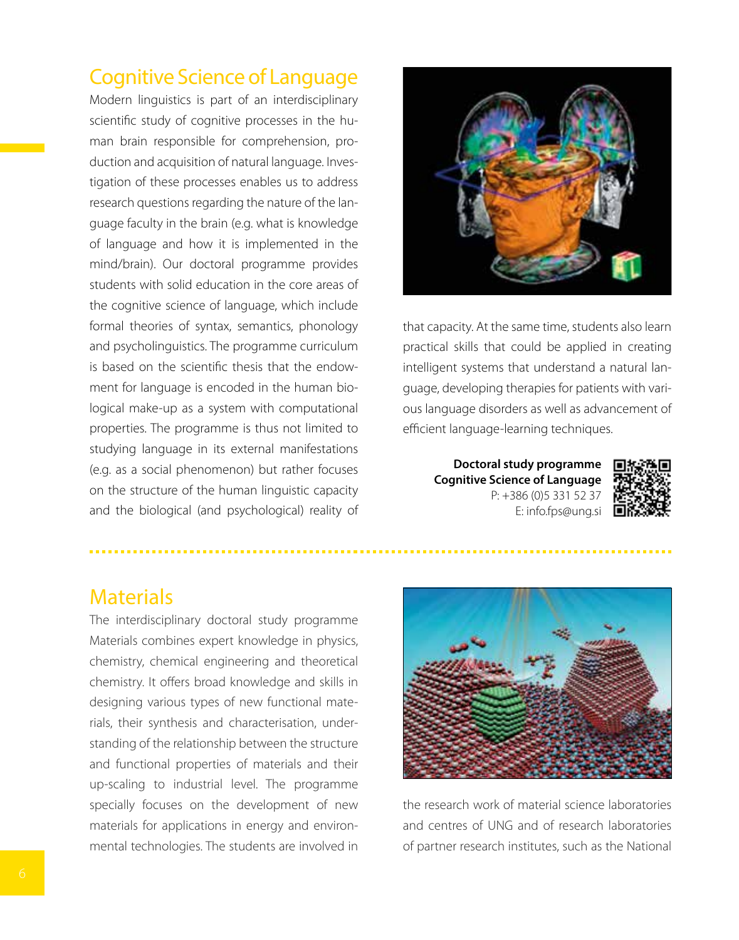#### Cognitive Science of Language

Modern linguistics is part of an interdisciplinary scientific study of cognitive processes in the human brain responsible for comprehension, production and acquisition of natural language. Investigation of these processes enables us to address research questions regarding the nature of the language faculty in the brain (e.g. what is knowledge of language and how it is implemented in the mind/brain). Our doctoral programme provides students with solid education in the core areas of the cognitive science of language, which include formal theories of syntax, semantics, phonology and psycholinguistics. The programme curriculum is based on the scientific thesis that the endowment for language is encoded in the human biological make-up as a system with computational properties. The programme is thus not limited to studying language in its external manifestations (e.g. as a social phenomenon) but rather focuses on the structure of the human linguistic capacity and the biological (and psychological) reality of



that capacity. At the same time, students also learn practical skills that could be applied in creating intelligent systems that understand a natural language, developing therapies for patients with various language disorders as well as advancement of efficient language-learning techniques.

> **Doctoral study programme Cognitive Science of Language** P: +386 (0)5 331 52 37 E: info.fps@ung.si



#### **Materials**

The interdisciplinary doctoral study programme Materials combines expert knowledge in physics, chemistry, chemical engineering and theoretical chemistry. It offers broad knowledge and skills in designing various types of new functional materials, their synthesis and characterisation, understanding of the relationship between the structure and functional properties of materials and their up-scaling to industrial level. The programme specially focuses on the development of new materials for applications in energy and environmental technologies. The students are involved in



the research work of material science laboratories and centres of UNG and of research laboratories of partner research institutes, such as the National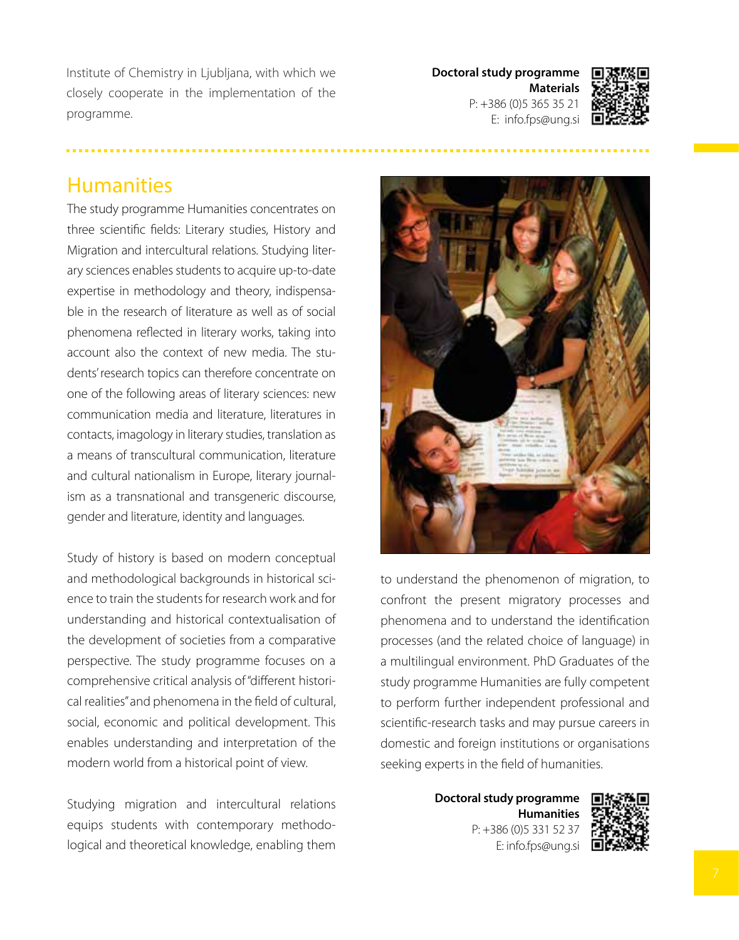Institute of Chemistry in Ljubljana, with which we closely cooperate in the implementation of the programme.

**Doctoral study programme Materials** P: +386 (0)5 365 35 21 E: info.fps@ung.si



#### Humanities

The study programme Humanities concentrates on three scientific fields: Literary studies, History and Migration and intercultural relations. Studying literary sciences enables students to acquire up-to-date expertise in methodology and theory, indispensable in the research of literature as well as of social phenomena reflected in literary works, taking into account also the context of new media. The students' research topics can therefore concentrate on one of the following areas of literary sciences: new communication media and literature, literatures in contacts, imagology in literary studies, translation as a means of transcultural communication, literature and cultural nationalism in Europe, literary journalism as a transnational and transgeneric discourse, gender and literature, identity and languages.

Study of history is based on modern conceptual and methodological backgrounds in historical science to train the students for research work and for understanding and historical contextualisation of the development of societies from a comparative perspective. The study programme focuses on a comprehensive critical analysis of "different historical realities" and phenomena in the field of cultural, social, economic and political development. This enables understanding and interpretation of the modern world from a historical point of view.

Studying migration and intercultural relations equips students with contemporary methodological and theoretical knowledge, enabling them



to understand the phenomenon of migration, to confront the present migratory processes and phenomena and to understand the identification processes (and the related choice of language) in a multilingual environment. PhD Graduates of the study programme Humanities are fully competent to perform further independent professional and scientific-research tasks and may pursue careers in domestic and foreign institutions or organisations seeking experts in the field of humanities.

> **Doctoral study programme Humanities** P: +386 (0)5 331 52 37 E: info.fps@ung.si